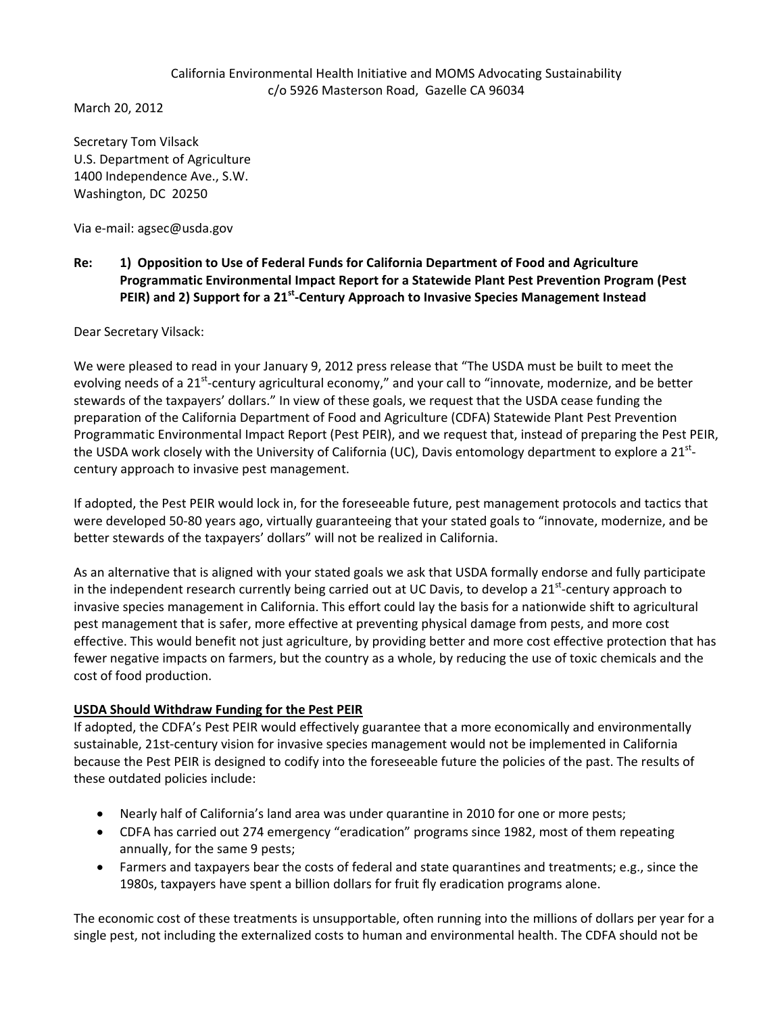### California Environmental Health Initiative and MOMS Advocating Sustainability c/o 5926 Masterson Road, Gazelle CA 96034

March 20, 2012

Secretary Tom Vilsack U.S. Department of Agriculture 1400 Independence Ave., S.W. Washington, DC 20250

Via e‐mail: agsec@usda.gov

# **Re: 1) Opposition to Use of Federal Funds for California Department of Food and Agriculture Programmatic Environmental Impact Report for a Statewide Plant Pest Prevention Program (Pest PEIR) and 2) Support for a 21st‐Century Approach to Invasive Species Management Instead**

Dear Secretary Vilsack:

We were pleased to read in your January 9, 2012 press release that "The USDA must be built to meet the evolving needs of a 21<sup>st</sup>-century agricultural economy," and your call to "innovate, modernize, and be better stewards of the taxpayers' dollars." In view of these goals, we request that the USDA cease funding the preparation of the California Department of Food and Agriculture (CDFA) Statewide Plant Pest Prevention Programmatic Environmental Impact Report (Pest PEIR), and we request that, instead of preparing the Pest PEIR, the USDA work closely with the University of California (UC), Davis entomology department to explore a  $21^{st}$ century approach to invasive pest management.

If adopted, the Pest PEIR would lock in, for the foreseeable future, pest management protocols and tactics that were developed 50‐80 years ago, virtually guaranteeing that your stated goals to "innovate, modernize, and be better stewards of the taxpayers' dollars" will not be realized in California.

As an alternative that is aligned with your stated goals we ask that USDA formally endorse and fully participate in the independent research currently being carried out at UC Davis, to develop a 21<sup>st</sup>-century approach to invasive species management in California. This effort could lay the basis for a nationwide shift to agricultural pest management that is safer, more effective at preventing physical damage from pests, and more cost effective. This would benefit not just agriculture, by providing better and more cost effective protection that has fewer negative impacts on farmers, but the country as a whole, by reducing the use of toxic chemicals and the cost of food production.

### **USDA Should Withdraw Funding for the Pest PEIR**

If adopted, the CDFA's Pest PEIR would effectively guarantee that a more economically and environmentally sustainable, 21st-century vision for invasive species management would not be implemented in California because the Pest PEIR is designed to codify into the foreseeable future the policies of the past. The results of these outdated policies include:

- Nearly half of California's land area was under quarantine in 2010 for one or more pests;
- CDFA has carried out 274 emergency "eradication" programs since 1982, most of them repeating annually, for the same 9 pests;
- Farmers and taxpayers bear the costs of federal and state quarantines and treatments; e.g., since the 1980s, taxpayers have spent a billion dollars for fruit fly eradication programs alone.

The economic cost of these treatments is unsupportable, often running into the millions of dollars per year for a single pest, not including the externalized costs to human and environmental health. The CDFA should not be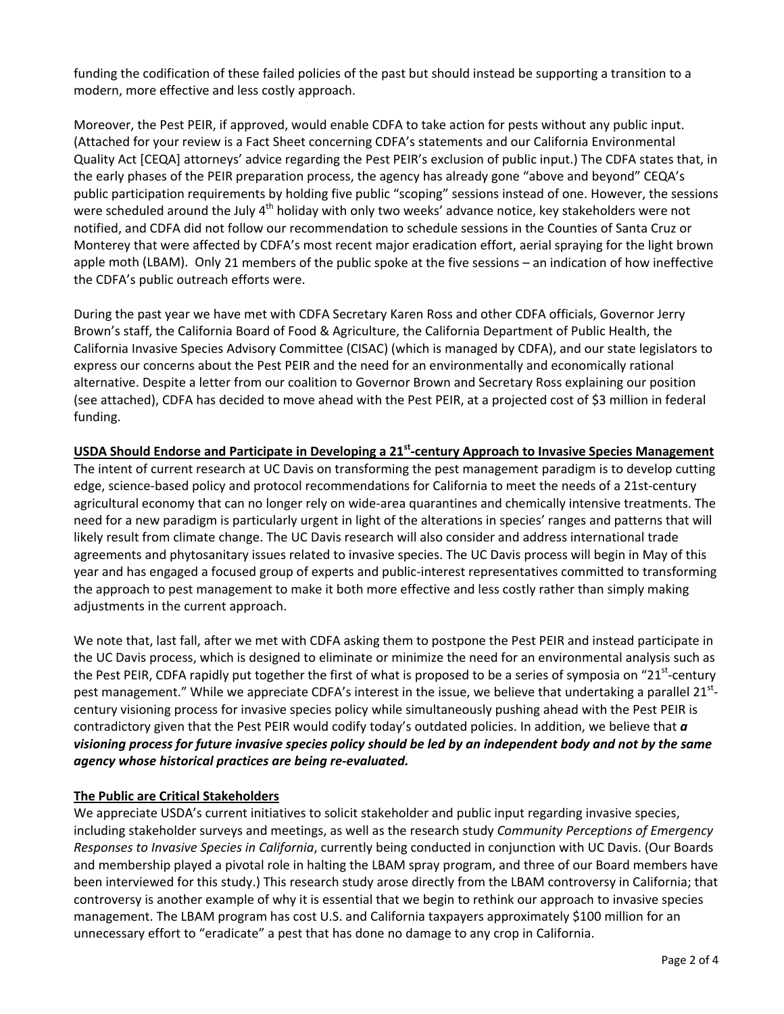funding the codification of these failed policies of the past but should instead be supporting a transition to a modern, more effective and less costly approach.

Moreover, the Pest PEIR, if approved, would enable CDFA to take action for pests without any public input. (Attached for your review is a Fact Sheet concerning CDFA's statements and our California Environmental Quality Act [CEQA] attorneys' advice regarding the Pest PEIR's exclusion of public input.) The CDFA states that, in the early phases of the PEIR preparation process, the agency has already gone "above and beyond" CEQA's public participation requirements by holding five public "scoping" sessions instead of one. However, the sessions were scheduled around the July  $4<sup>th</sup>$  holiday with only two weeks' advance notice, key stakeholders were not notified, and CDFA did not follow our recommendation to schedule sessions in the Counties of Santa Cruz or Monterey that were affected by CDFA's most recent major eradication effort, aerial spraying for the light brown apple moth (LBAM). Only 21 members of the public spoke at the five sessions – an indication of how ineffective the CDFA's public outreach efforts were.

During the past year we have met with CDFA Secretary Karen Ross and other CDFA officials, Governor Jerry Brown's staff, the California Board of Food & Agriculture, the California Department of Public Health, the California Invasive Species Advisory Committee (CISAC) (which is managed by CDFA), and our state legislators to express our concerns about the Pest PEIR and the need for an environmentally and economically rational alternative. Despite a letter from our coalition to Governor Brown and Secretary Ross explaining our position (see attached), CDFA has decided to move ahead with the Pest PEIR, at a projected cost of \$3 million in federal funding.

# **USDA Should Endorse and Participate in Developing a 21st‐century Approach to Invasive Species Management**

The intent of current research at UC Davis on transforming the pest management paradigm is to develop cutting edge, science-based policy and protocol recommendations for California to meet the needs of a 21st-century agricultural economy that can no longer rely on wide‐area quarantines and chemically intensive treatments. The need for a new paradigm is particularly urgent in light of the alterations in species' ranges and patterns that will likely result from climate change. The UC Davis research will also consider and address international trade agreements and phytosanitary issues related to invasive species. The UC Davis process will begin in May of this year and has engaged a focused group of experts and public‐interest representatives committed to transforming the approach to pest management to make it both more effective and less costly rather than simply making adjustments in the current approach.

We note that, last fall, after we met with CDFA asking them to postpone the Pest PEIR and instead participate in the UC Davis process, which is designed to eliminate or minimize the need for an environmental analysis such as the Pest PEIR, CDFA rapidly put together the first of what is proposed to be a series of symposia on "21 $^{\rm st}$ -century pest management." While we appreciate CDFA's interest in the issue, we believe that undertaking a parallel 21stcentury visioning process for invasive species policy while simultaneously pushing ahead with the Pest PEIR is contradictory given that the Pest PEIR would codify today's outdated policies. In addition, we believe that *a* visioning process for future invasive species policy should be led by an independent body and not by the same *agency whose historical practices are being re‐evaluated.*

# **The Public are Critical Stakeholders**

We appreciate USDA's current initiatives to solicit stakeholder and public input regarding invasive species, including stakeholder surveys and meetings, as well as the research study *Community Perceptions of Emergency Responses to Invasive Species in California*, currently being conducted in conjunction with UC Davis. (Our Boards and membership played a pivotal role in halting the LBAM spray program, and three of our Board members have been interviewed for this study.) This research study arose directly from the LBAM controversy in California; that controversy is another example of why it is essential that we begin to rethink our approach to invasive species management. The LBAM program has cost U.S. and California taxpayers approximately \$100 million for an unnecessary effort to "eradicate" a pest that has done no damage to any crop in California.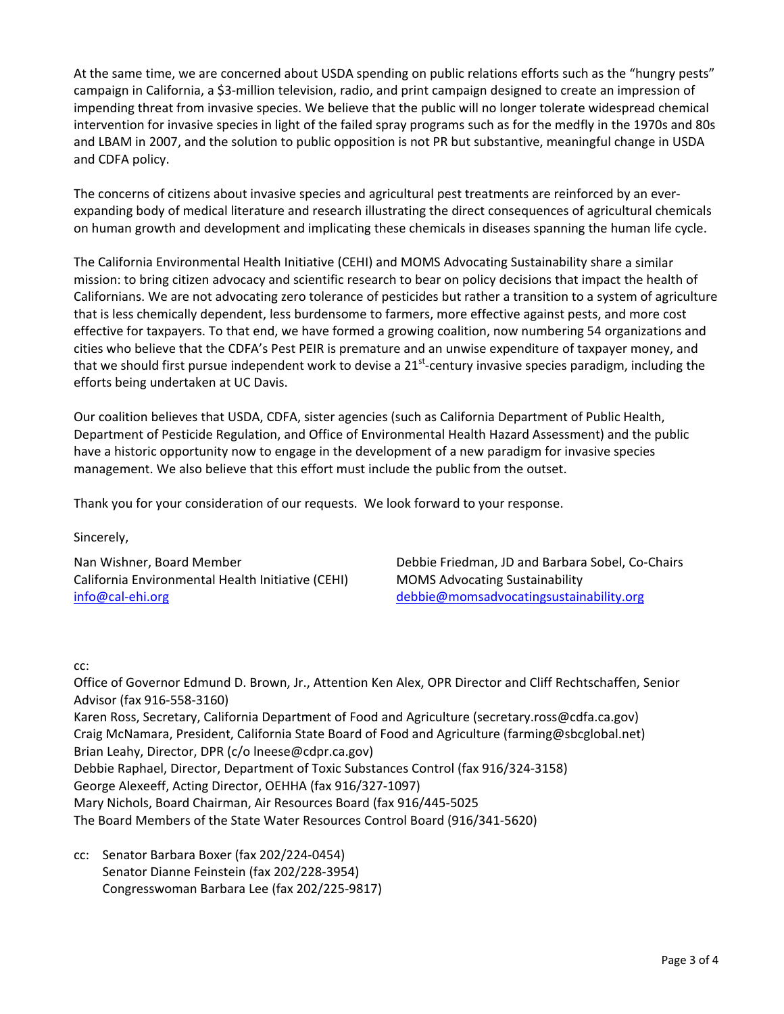At the same time, we are concerned about USDA spending on public relations efforts such as the "hungry pests" campaign in California, a \$3‐million television, radio, and print campaign designed to create an impression of impending threat from invasive species. We believe that the public will no longer tolerate widespread chemical intervention for invasive species in light of the failed spray programs such as for the medfly in the 1970s and 80s and LBAM in 2007, and the solution to public opposition is not PR but substantive, meaningful change in USDA and CDFA policy.

The concerns of citizens about invasive species and agricultural pest treatments are reinforced by an ever‐ expanding body of medical literature and research illustrating the direct consequences of agricultural chemicals on human growth and development and implicating these chemicals in diseases spanning the human life cycle.

The California Environmental Health Initiative (CEHI) and MOMS Advocating Sustainability share a similar mission: to bring citizen advocacy and scientific research to bear on policy decisions that impact the health of Californians. We are not advocating zero tolerance of pesticides but rather a transition to a system of agriculture that is less chemically dependent, less burdensome to farmers, more effective against pests, and more cost effective for taxpayers. To that end, we have formed a growing coalition, now numbering 54 organizations and cities who believe that the CDFA's Pest PEIR is premature and an unwise expenditure of taxpayer money, and that we should first pursue independent work to devise a 21<sup>st</sup>-century invasive species paradigm, including the efforts being undertaken at UC Davis.

Our coalition believes that USDA, CDFA, sister agencies (such as California Department of Public Health, Department of Pesticide Regulation, and Office of Environmental Health Hazard Assessment) and the public have a historic opportunity now to engage in the development of a new paradigm for invasive species management. We also believe that this effort must include the public from the outset.

Thank you for your consideration of our requests. We look forward to your response.

Sincerely,

California Environmental Health Initiative (CEHI) MOMS Advocating Sustainability info@cal‐ehi.org debbie@momsadvocatingsustainability.org

Nan Wishner, Board Member Debbie Friedman, JD and Barbara Sobel, Co‐Chairs

### cc:

Office of Governor Edmund D. Brown, Jr., Attention Ken Alex, OPR Director and Cliff Rechtschaffen, Senior Advisor (fax 916‐558‐3160) Karen Ross, Secretary, California Department of Food and Agriculture (secretary.ross@cdfa.ca.gov) Craig McNamara, President, California State Board of Food and Agriculture (farming@sbcglobal.net) Brian Leahy, Director, DPR (c/o lneese@cdpr.ca.gov) Debbie Raphael, Director, Department of Toxic Substances Control (fax 916/324‐3158) George Alexeeff, Acting Director, OEHHA (fax 916/327‐1097) Mary Nichols, Board Chairman, Air Resources Board (fax 916/445‐5025 The Board Members of the State Water Resources Control Board (916/341‐5620)

cc: Senator Barbara Boxer (fax 202/224‐0454) Senator Dianne Feinstein (fax 202/228‐3954) Congresswoman Barbara Lee (fax 202/225‐9817)